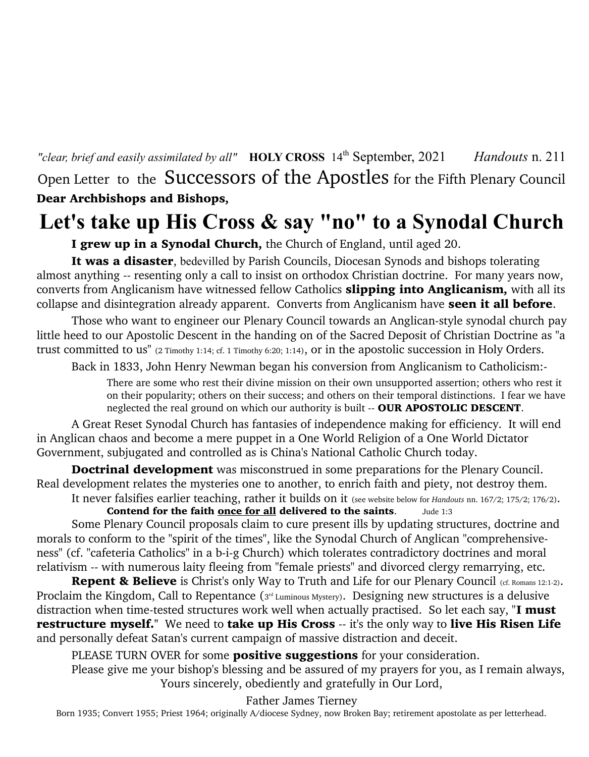*"clear, brief and easily assimilated by all"* **HOLY CROSS** 14th September, 2021 *Handouts* n. 211 Open Letter to the Successors of the Apostles for the Fifth Plenary Council Dear Archbishops and Bishops,

# **Let's take up His Cross & say "no" to a Synodal Church**

I grew up in a Synodal Church, the Church of England, until aged 20.

It was a disaster, bedevilled by Parish Councils, Diocesan Synods and bishops tolerating almost anything -- resenting only a call to insist on orthodox Christian doctrine. For many years now, converts from Anglicanism have witnessed fellow Catholics **slipping into Anglicanism**, with all its collapse and disintegration already apparent. Converts from Anglicanism have seen it all before.

Those who want to engineer our Plenary Council towards an Anglican-style synodal church pay little heed to our Apostolic Descent in the handing on of the Sacred Deposit of Christian Doctrine as "a trust committed to us" (2 Timothy 1:14; cf. 1 Timothy 6:20; 1:14), or in the apostolic succession in Holy Orders.

Back in 1833, John Henry Newman began his conversion from Anglicanism to Catholicism:-

There are some who rest their divine mission on their own unsupported assertion; others who rest it on their popularity; others on their success; and others on their temporal distinctions. I fear we have neglected the real ground on which our authority is built -- OUR APOSTOLIC DESCENT.

A Great Reset Synodal Church has fantasies of independence making for efficiency. It will end in Anglican chaos and become a mere puppet in a One World Religion of a One World Dictator Government, subjugated and controlled as is China's National Catholic Church today.

Doctrinal development was misconstrued in some preparations for the Plenary Council. Real development relates the mysteries one to another, to enrich faith and piety, not destroy them.

It never falsifies earlier teaching, rather it builds on it (see website below for *Handouts* nn. 167/2; 175/2; 176/2). Contend for the faith once for all delivered to the saints. Jude 1:3

Some Plenary Council proposals claim to cure present ills by updating structures, doctrine and morals to conform to the "spirit of the times", like the Synodal Church of Anglican "comprehensiveness" (cf. "cafeteria Catholics" in a b-i-g Church) which tolerates contradictory doctrines and moral relativism -- with numerous laity fleeing from "female priests" and divorced clergy remarrying, etc.

Repent & Believe is Christ's only Way to Truth and Life for our Plenary Council (cf. Romans 12:1-2). Proclaim the Kingdom, Call to Repentance (3<sup>rd</sup> Luminous Mystery). Designing new structures is a delusive distraction when time-tested structures work well when actually practised. So let each say, "**I must** restructure myself." We need to take up His Cross -- it's the only way to live His Risen Life and personally defeat Satan's current campaign of massive distraction and deceit.

PLEASE TURN OVER for some **positive suggestions** for your consideration.

Please give me your bishop's blessing and be assured of my prayers for you, as I remain always, Yours sincerely, obediently and gratefully in Our Lord,

Father James Tierney

Born 1935; Convert 1955; Priest 1964; originally A/diocese Sydney, now Broken Bay; retirement apostolate as per letterhead.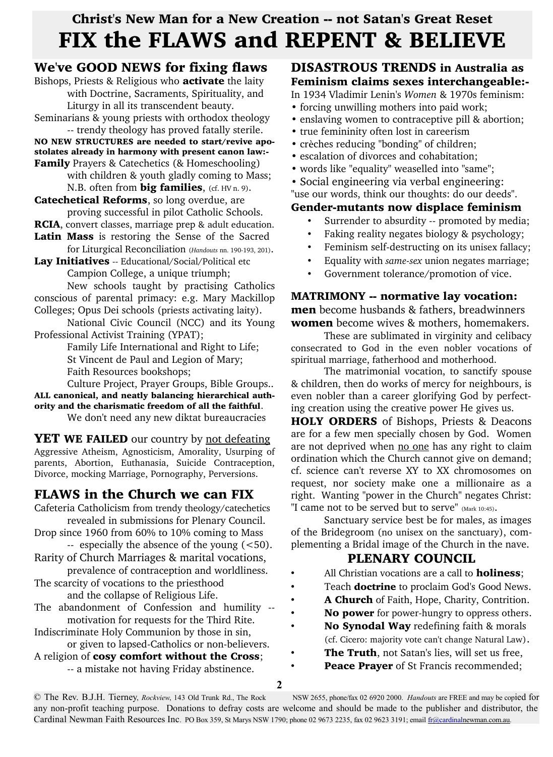# Christ's New Man for a New Creation -- not Satan's Great Reset FIX the FLAWS and REPENT & BELIEVE

# We've GOOD NEWS for fixing flaws

Bishops, Priests & Religious who **activate** the laity with Doctrine, Sacraments, Spirituality, and Liturgy in all its transcendent beauty.

Seminarians & young priests with orthodox theology -- trendy theology has proved fatally sterile. NO NEW STRUCTURES are needed to start/revive apo-

stolates already in harmony with present canon law:- Family Prayers & Catechetics (& Homeschooling) with children & youth gladly coming to Mass;

N.B. often from **big families**, (cf. HV n. 9). Catechetical Reforms, so long overdue, are

proving successful in pilot Catholic Schools.

RCIA, convert classes, marriage prep & adult education. Latin Mass is restoring the Sense of the Sacred

for Liturgical Reconciliation (*Handouts* nn. 190-193, 201).

Lay Initiatives -- Educational/Social/Political etc Campion College, a unique triumph;

New schools taught by practising Catholics conscious of parental primacy: e.g. Mary Mackillop Colleges; Opus Dei schools (priests activating laity).

National Civic Council (NCC) and its Young Professional Activist Training (YPAT);

Family Life International and Right to Life; St Vincent de Paul and Legion of Mary; Faith Resources bookshops;

Culture Project, Prayer Groups, Bible Groups.. ALL canonical, and neatly balancing hierarchical authority and the charismatic freedom of all the faithful.

We don't need any new diktat bureaucracies

**YET WE FAILED** our country by not defeating Aggressive Atheism, Agnosticism, Amorality, Usurping of parents, Abortion, Euthanasia, Suicide Contraception, Divorce, mocking Marriage, Pornography, Perversions.

# FLAWS in the Church we can FIX

Cafeteria Catholicism from trendy theology/catechetics revealed in submissions for Plenary Council.

Drop since 1960 from 60% to 10% coming to Mass -- especially the absence of the young (<50).

- Rarity of Church Marriages & marital vocations, prevalence of contraception and worldliness.
- The scarcity of vocations to the priesthood and the collapse of Religious Life.
- The abandonment of Confession and humility motivation for requests for the Third Rite.
- Indiscriminate Holy Communion by those in sin, or given to lapsed-Catholics or non-believers.

A religion of cosy comfort without the Cross;

-- a mistake not having Friday abstinence.

### DISASTROUS TRENDS in Australia as Feminism claims sexes interchangeable:-

In 1934 Vladimir Lenin's *Women* & 1970s feminism:

- forcing unwilling mothers into paid work;
- enslaving women to contraceptive pill & abortion;
- true femininity often lost in careerism
- crèches reducing "bonding" of children;
- escalation of divorces and cohabitation;
- words like "equality" weaselled into "same";
- Social engineering via verbal engineering:

"use our words, think our thoughts: do our deeds".

### Gender-mutants now displace feminism

- Surrender to absurdity -- promoted by media;
- Faking reality negates biology & psychology;
- Feminism self-destructing on its unisex fallacy;
- Equality with *same-sex* union negates marriage;
- Government tolerance/promotion of vice.

#### MATRIMONY -- normative lay vocation: **men** become husbands & fathers, breadwinners

women become wives & mothers, homemakers.

These are sublimated in virginity and celibacy consecrated to God in the even nobler vocations of spiritual marriage, fatherhood and motherhood.

The matrimonial vocation, to sanctify spouse & children, then do works of mercy for neighbours, is even nobler than a career glorifying God by perfecting creation using the creative power He gives us.

**HOLY ORDERS** of Bishops, Priests & Deacons are for a few men specially chosen by God. Women are not deprived when no one has any right to claim ordination which the Church cannot give on demand; cf. science can't reverse XY to XX chromosomes on request, nor society make one a millionaire as a right. Wanting "power in the Church" negates Christ: "I came not to be served but to serve" (Mark 10:45).

Sanctuary service best be for males, as images of the Bridegroom (no unisex on the sanctuary), complementing a Bridal image of the Church in the nave.

## PLENARY COUNCIL

- All Christian vocations are a call to **holiness**;
- Teach **doctrine** to proclaim God's Good News.
- A Church of Faith, Hope, Charity, Contrition.
- No power for power-hungry to oppress others.
- No Synodal Way redefining faith & morals (cf. Cicero: majority vote can't change Natural Law).
- The Truth, not Satan's lies, will set us free,
- Peace Prayer of St Francis recommended;

© The Rev. B.J.H. Tierney,, *Rockview*, 143 Old Trunk Rd., The Rock NSW 2655, phone/fax 02 6920 2000. *Handouts* are FREE and may be copied for any non-profit teaching purpose. Donations to defray costs are welcome and should be made to the publisher and distributor, the Cardinal Newman Faith Resources Inc. PO Box 359, St Marys NSW 1790; phone 02 9673 2235, fax 02 9623 3191; email fr@cardinalnewman.com.au*.*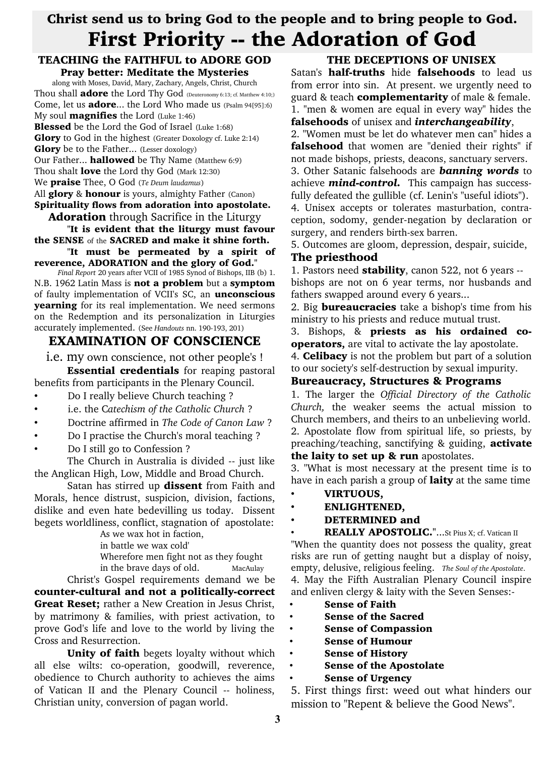# Christ send us to bring God to the people and to bring people to God. First Priority -- the Adoration of God

#### TEACHING the FAITHFUL to ADORE GOD Pray better: Meditate the Mysteries

along with Moses, David, Mary, Zachary, Angels, Christ, Church Thou shall **adore** the Lord Thy God (Deuteronomy 6:13; cf. Matthew 4:10;) Come, let us **adore...** the Lord Who made us (Psalm 94[95]:6) My soul **magnifies** the Lord  $(Luke 1:46)$ **Blessed** be the Lord the God of Israel (Luke 1:68) Glory to God in the highest (Greater Doxology cf. Luke 2:14) **Glory** be to the Father... (Lesser doxology) Our Father... **hallowed** be Thy Name (Matthew 6:9) Thou shalt **love** the Lord thy God (Mark 12:30) We praise Thee, O God (*Te Deum laudamus*) All **glory** & **honour** is yours, almighty Father (Canon) Spirituality flows from adoration into apostolate.

#### **Adoration** through Sacrifice in the Liturgy

"It is evident that the liturgy must favour the SENSE of the SACRED and make it shine forth.

"It must be permeated by a spirit of reverence, ADORATION and the glory of God."

*Final Report* 20 years after VCII of 1985 Synod of Bishops, IIB (b) 1. N.B. 1962 Latin Mass is not a problem but a symptom of faulty implementation of VCII's SC, an unconscious yearning for its real implementation. We need sermons on the Redemption and its personalization in Liturgies accurately implemented. (See *Handouts* nn. 190-193, 201)

## EXAMINATION OF CONSCIENCE

i.e. my own conscience, not other people's !

**Essential credentials** for reaping pastoral benefits from participants in the Plenary Council.

- Do I really believe Church teaching ?
- i.e. the C*atechism of the Catholic Church* ?
- Doctrine affirmed in *The Code of Canon Law* ?
- Do I practise the Church's moral teaching ?
- Do I still go to Confession ?

The Church in Australia is divided -- just like the Anglican High, Low, Middle and Broad Church.

Satan has stirred up dissent from Faith and Morals, hence distrust, suspicion, division, factions, dislike and even hate bedevilling us today. Dissent begets worldliness, conflict, stagnation of apostolate:

As we wax hot in faction,

in battle we wax cold'

Wherefore men fight not as they fought

in the brave days of old. MacAulay

Christ's Gospel requirements demand we be counter-cultural and not a politically-correct **Great Reset;** rather a New Creation in Jesus Christ, by matrimony & families, with priest activation, to prove God's life and love to the world by living the Cross and Resurrection.

Unity of faith begets loyalty without which all else wilts: co-operation, goodwill, reverence, obedience to Church authority to achieves the aims of Vatican II and the Plenary Council -- holiness, Christian unity, conversion of pagan world.

## THE DECEPTIONS OF UNISEX

Satan's half-truths hide falsehoods to lead us from error into sin. At present. we urgently need to guard & teach **complementarity** of male & female. 1. "men & women are equal in every way" hides the falsehoods of unisex and *interchangeability*,

2. "Women must be let do whatever men can" hides a falsehood that women are "denied their rights" if not made bishops, priests, deacons, sanctuary servers. 3. Other Satanic falsehoods are *banning words* to

achieve *mind-control.* This campaign has successfully defeated the gullible (cf. Lenin's "useful idiots").

4. Unisex accepts or tolerates masturbation, contraception, sodomy, gender-negation by declaration or surgery, and renders birth-sex barren.

5. Outcomes are gloom, depression, despair, suicide,

#### The priesthood

1. Pastors need **stability**, canon 522, not 6 years -bishops are not on 6 year terms, nor husbands and fathers swapped around every 6 years...

2. Big **bureaucracies** take a bishop's time from his ministry to his priests and reduce mutual trust.

3. Bishops, & priests as his ordained cooperators, are vital to activate the lay apostolate.

4. **Celibacy** is not the problem but part of a solution to our society's self-destruction by sexual impurity.

#### Bureaucracy, Structures & Programs

1. The larger the *Official Directory of the Catholic Church,* the weaker seems the actual mission to Church members, and theirs to an unbelieving world. 2. Apostolate flow from spiritual life, so priests, by preaching/teaching, sanctifying & guiding, **activate** the laity to set up & run apostolates.

3. "What is most necessary at the present time is to have in each parish a group of **laity** at the same time

- VIRTUOUS,
- ENLIGHTENED,
- DETERMINED and
- 

REALLY APOSTOLIC."...St Pius X; cf. Vatican II "When the quantity does not possess the quality, great risks are run of getting naught but a display of noisy, empty, delusive, religious feeling. *The Soul of the Apostolate*. 4. May the Fifth Australian Plenary Council inspire and enliven clergy & laity with the Seven Senses:-

- **Sense of Faith**
- Sense of the Sacred
- Sense of Compassion
- Sense of Humour
- Sense of History
- Sense of the Apostolate
- Sense of Urgency

5. First things first: weed out what hinders our mission to "Repent & believe the Good News".